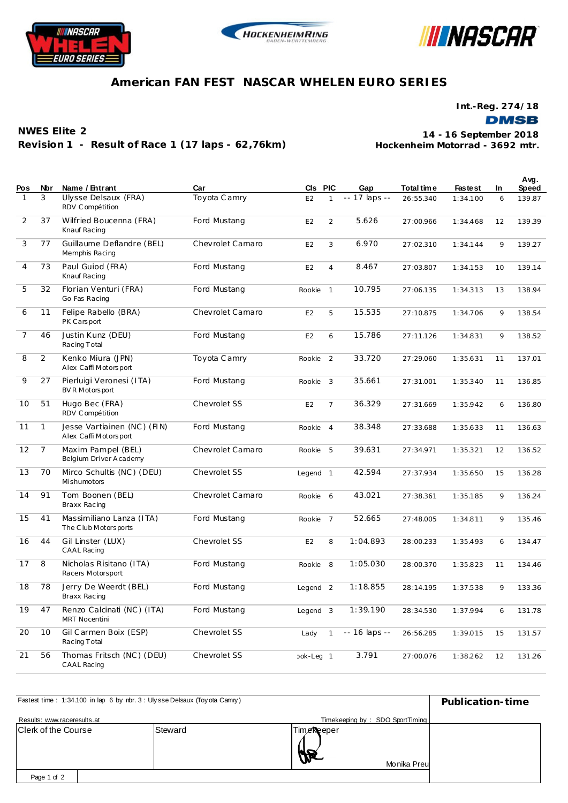





## **American FAN FEST NASCAR WHELEN EURO SERIES**

**Int.-Reg. 274/18**

**NWES Elite 2 Revision 1 - Result of Race 1 (17 laps - 62,76km)**

**Hockenheim Motorrad - 3692 mtr. 14 - 16 September 2018**

| Pos            | Nbr            | Name / Entrant                                       | Car              | CIs PIC             |                | Gap           | Total time | <b>Fastest</b> | In | Avg.<br>Speed |
|----------------|----------------|------------------------------------------------------|------------------|---------------------|----------------|---------------|------------|----------------|----|---------------|
|                | 3              | Ulysse Delsaux (FRA)<br>RDV Compétition              | Toyota Camry     | E <sub>2</sub>      | $\mathbf{1}$   | -- 17 laps -- | 26:55.340  | 1:34.100       | 6  | 139.87        |
| 2              | 37             | Wilfried Boucenna (FRA)<br>Knauf Racing              | Ford Mustang     | E <sub>2</sub>      | 2              | 5.626         | 27:00.966  | 1:34.468       | 12 | 139.39        |
| 3              | 77             | Guillaume Deflandre (BEL)<br>Memphis Racing          | Chevrolet Camaro | E <sub>2</sub>      | 3              | 6.970         | 27:02.310  | 1:34.144       | 9  | 139.27        |
| 4              | 73             | Paul Guiod (FRA)<br>Knauf Racing                     | Ford Mustang     | E <sub>2</sub>      | $\overline{4}$ | 8.467         | 27:03.807  | 1:34.153       | 10 | 139.14        |
| 5              | 32             | Florian Venturi (FRA)<br>Go Fas Racing               | Ford Mustang     | Rookie              | $\mathbf{1}$   | 10.795        | 27:06.135  | 1:34.313       | 13 | 138.94        |
| 6              | 11             | Felipe Rabello (BRA)<br>PK Carsport                  | Chevrolet Camaro | E <sub>2</sub>      | 5              | 15.535        | 27:10.875  | 1:34.706       | 9  | 138.54        |
| $\overline{7}$ | 46             | Justin Kunz (DEU)<br>Racing Total                    | Ford Mustang     | E <sub>2</sub>      | 6              | 15.786        | 27:11.126  | 1:34.831       | 9  | 138.52        |
| 8              | 2              | Kenko Miura (JPN)<br>Alex Caffi Motorsport           | Toyota Camry     | Rookie              | 2              | 33.720        | 27:29.060  | 1:35.631       | 11 | 137.01        |
| 9              | 27             | Pierluigi Veronesi (ITA)<br>BV R Motors port         | Ford Mustang     | Rookie              | 3              | 35.661        | 27:31.001  | 1:35.340       | 11 | 136.85        |
| 10             | 51             | Hugo Bec (FRA)<br>RDV Compétition                    | Chevrolet SS     | E <sub>2</sub>      | $\overline{7}$ | 36.329        | 27:31.669  | 1:35.942       | 6  | 136.80        |
| 11             | $\mathbf{1}$   | Jesse Vartiainen (NC) (FIN)<br>Alex Caffi Motorsport | Ford Mustang     | Rookie              | $\overline{4}$ | 38.348        | 27:33.688  | 1:35.633       | 11 | 136.63        |
| 12             | $\overline{7}$ | Maxim Pampel (BEL)<br>Belgium Driver A cademy        | Chevrolet Camaro | Rookie              | 5              | 39.631        | 27:34.971  | 1:35.321       | 12 | 136.52        |
| 13             | 70             | Mirco Schultis (NC) (DEU)<br>Mishumotors             | Chevrolet SS     | Legend 1            |                | 42.594        | 27:37.934  | 1:35.650       | 15 | 136.28        |
| 14             | 91             | Tom Boonen (BEL)<br>Braxx Racing                     | Chevrolet Camaro | Rookie              | 6              | 43.021        | 27:38.361  | 1:35.185       | 9  | 136.24        |
| 15             | 41             | Massimiliano Lanza (ITA)<br>The C lub Motors ports   | Ford Mustang     | Rookie              | $\overline{7}$ | 52.665        | 27:48.005  | 1:34.811       | 9  | 135.46        |
| 16             | 44             | Gil Linster (LUX)<br>CAAL Racing                     | Chevrolet SS     | E2                  | 8              | 1:04.893      | 28:00.233  | 1:35.493       | 6  | 134.47        |
| 17             | 8              | Nicholas Risitano (ITA)<br>Racers Motorsport         | Ford Mustang     | Rookie 8            |                | 1:05.030      | 28:00.370  | 1:35.823       | 11 | 134.46        |
| 18             | 78             | Jerry De Weerdt (BEL)<br>Braxx Racing                | Ford Mustang     | Legend <sub>2</sub> |                | 1:18.855      | 28:14.195  | 1:37.538       | 9  | 133.36        |
| 19             | 47             | Renzo Calcinati (NC) (ITA)<br><b>MRT Nocentini</b>   | Ford Mustang     | Legend 3            |                | 1:39.190      | 28:34.530  | 1:37.994       | 6  | 131.78        |
| 20             | 10             | Gil Carmen Boix (ESP)<br>Racing Total                | Chevrolet SS     | Lady                | $\mathbf{1}$   | -- 16 laps -- | 26:56.285  | 1:39.015       | 15 | 131.57        |
| 21             | 56             | Thomas Fritsch (NC) (DEU)<br>CAAL Racing             | Chevrolet SS     | ook-Lec 1           |                | 3.791         | 27:00.076  | 1:38.262       | 12 | 131.26        |

| Fastest time: 1:34.100 in lap 6 by nbr. 3: Ulysse Delsaux (Toyota Camry) | Publication-time                |                            |  |
|--------------------------------------------------------------------------|---------------------------------|----------------------------|--|
| Results: www.raceresults.at                                              | Timekeeping by: SDO SportTiming |                            |  |
| Clerk of the Course                                                      | Steward                         | TimeReeper<br>Monika Preul |  |
| Page 1 of 2                                                              |                                 |                            |  |